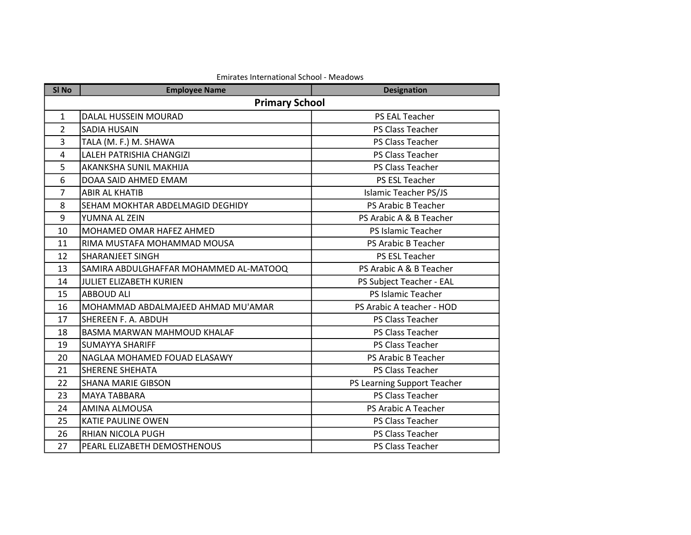| SI <sub>No</sub> | <b>Employee Name</b>                   | <b>Designation</b>           |
|------------------|----------------------------------------|------------------------------|
|                  | <b>Primary School</b>                  |                              |
| $\mathbf{1}$     | DALAL HUSSEIN MOURAD                   | PS EAL Teacher               |
| $\overline{2}$   | <b>SADIA HUSAIN</b>                    | PS Class Teacher             |
| 3                | TALA (M. F.) M. SHAWA                  | PS Class Teacher             |
| $\overline{4}$   | LALEH PATRISHIA CHANGIZI               | PS Class Teacher             |
| 5                | AKANKSHA SUNIL MAKHIJA                 | PS Class Teacher             |
| 6                | DOAA SAID AHMED EMAM                   | PS ESL Teacher               |
| 7                | <b>ABIR AL KHATIB</b>                  | <b>Islamic Teacher PS/JS</b> |
| 8                | SEHAM MOKHTAR ABDELMAGID DEGHIDY       | PS Arabic B Teacher          |
| 9                | YUMNA AL ZEIN                          | PS Arabic A & B Teacher      |
| 10               | MOHAMED OMAR HAFEZ AHMED               | PS Islamic Teacher           |
| 11               | RIMA MUSTAFA MOHAMMAD MOUSA            | PS Arabic B Teacher          |
| 12               | <b>SHARANJEET SINGH</b>                | <b>PS ESL Teacher</b>        |
| 13               | SAMIRA ABDULGHAFFAR MOHAMMED AL-MATOOQ | PS Arabic A & B Teacher      |
| 14               | JULIET ELIZABETH KURIEN                | PS Subject Teacher - EAL     |
| 15               | <b>ABBOUD ALI</b>                      | PS Islamic Teacher           |
| 16               | MOHAMMAD ABDALMAJEED AHMAD MU'AMAR     | PS Arabic A teacher - HOD    |
| 17               | SHEREEN F. A. ABDUH                    | PS Class Teacher             |
| 18               | BASMA MARWAN MAHMOUD KHALAF            | PS Class Teacher             |
| 19               | <b>SUMAYYA SHARIFF</b>                 | <b>PS Class Teacher</b>      |
| 20               | NAGLAA MOHAMED FOUAD ELASAWY           | PS Arabic B Teacher          |
| 21               | <b>SHERENE SHEHATA</b>                 | PS Class Teacher             |
| 22               | ISHANA MARIE GIBSON                    | PS Learning Support Teacher  |
| 23               | <b>MAYA TABBARA</b>                    | PS Class Teacher             |
| 24               | <b>AMINA ALMOUSA</b>                   | PS Arabic A Teacher          |
| 25               | <b>KATIE PAULINE OWEN</b>              | PS Class Teacher             |
| 26               | <b>RHIAN NICOLA PUGH</b>               | PS Class Teacher             |
| 27               | PEARL ELIZABETH DEMOSTHENOUS           | PS Class Teacher             |

## Emirates International School - Meadows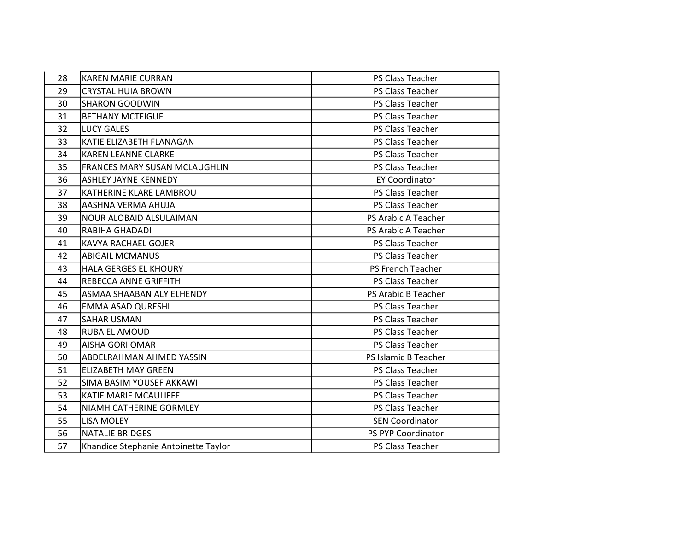| 28 | <b>KAREN MARIE CURRAN</b>            | PS Class Teacher        |
|----|--------------------------------------|-------------------------|
| 29 | <b>CRYSTAL HUIA BROWN</b>            | <b>PS Class Teacher</b> |
| 30 | <b>SHARON GOODWIN</b>                | <b>PS Class Teacher</b> |
| 31 | <b>BETHANY MCTEIGUE</b>              | PS Class Teacher        |
| 32 | <b>LUCY GALES</b>                    | PS Class Teacher        |
| 33 | KATIE ELIZABETH FLANAGAN             | PS Class Teacher        |
| 34 | <b>KAREN LEANNE CLARKE</b>           | PS Class Teacher        |
| 35 | FRANCES MARY SUSAN MCLAUGHLIN        | PS Class Teacher        |
| 36 | <b>ASHLEY JAYNE KENNEDY</b>          | <b>EY Coordinator</b>   |
| 37 | KATHERINE KLARE LAMBROU              | PS Class Teacher        |
| 38 | AASHNA VERMA AHUJA                   | PS Class Teacher        |
| 39 | <b>NOUR ALOBAID ALSULAIMAN</b>       | PS Arabic A Teacher     |
| 40 | RABIHA GHADADI                       | PS Arabic A Teacher     |
| 41 | <b>KAVYA RACHAEL GOJER</b>           | PS Class Teacher        |
| 42 | <b>ABIGAIL MCMANUS</b>               | PS Class Teacher        |
| 43 | HALA GERGES EL KHOURY                | PS French Teacher       |
| 44 | REBECCA ANNE GRIFFITH                | <b>PS Class Teacher</b> |
| 45 | ASMAA SHAABAN ALY ELHENDY            | PS Arabic B Teacher     |
| 46 | EMMA ASAD QURESHI                    | PS Class Teacher        |
| 47 | <b>SAHAR USMAN</b>                   | <b>PS Class Teacher</b> |
| 48 | <b>RUBA EL AMOUD</b>                 | PS Class Teacher        |
| 49 | <b>AISHA GORI OMAR</b>               | PS Class Teacher        |
| 50 | ABDELRAHMAN AHMED YASSIN             | PS Islamic B Teacher    |
| 51 | <b>ELIZABETH MAY GREEN</b>           | PS Class Teacher        |
| 52 | SIMA BASIM YOUSEF AKKAWI             | <b>PS Class Teacher</b> |
| 53 | KATIE MARIE MCAULIFFE                | PS Class Teacher        |
| 54 | NIAMH CATHERINE GORMLEY              | PS Class Teacher        |
| 55 | <b>LISA MOLEY</b>                    | <b>SEN Coordinator</b>  |
| 56 | <b>NATALIE BRIDGES</b>               | PS PYP Coordinator      |
| 57 | Khandice Stephanie Antoinette Taylor | PS Class Teacher        |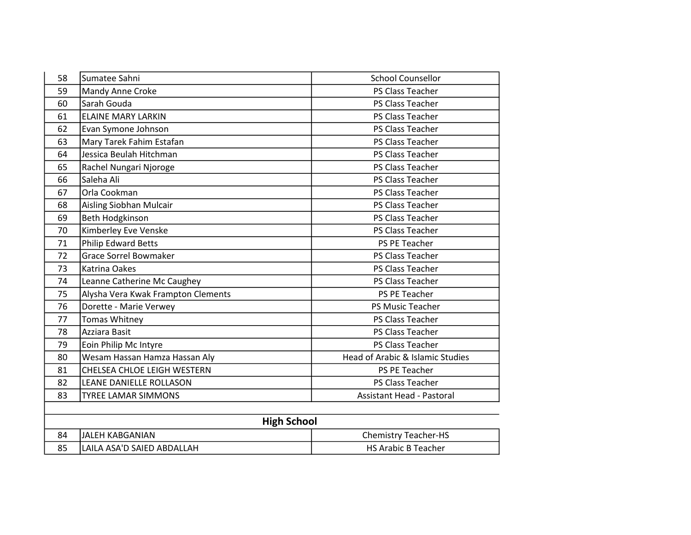| 58 | Sumatee Sahni                      | <b>School Counsellor</b>         |
|----|------------------------------------|----------------------------------|
| 59 | Mandy Anne Croke                   | PS Class Teacher                 |
| 60 | Sarah Gouda                        | PS Class Teacher                 |
| 61 | <b>ELAINE MARY LARKIN</b>          | PS Class Teacher                 |
| 62 | Evan Symone Johnson                | PS Class Teacher                 |
| 63 | Mary Tarek Fahim Estafan           | PS Class Teacher                 |
| 64 | Jessica Beulah Hitchman            | PS Class Teacher                 |
| 65 | Rachel Nungari Njoroge             | PS Class Teacher                 |
| 66 | Saleha Ali                         | PS Class Teacher                 |
| 67 | Orla Cookman                       | PS Class Teacher                 |
| 68 | Aisling Siobhan Mulcair            | PS Class Teacher                 |
| 69 | Beth Hodgkinson                    | PS Class Teacher                 |
| 70 | Kimberley Eve Venske               | PS Class Teacher                 |
| 71 | <b>Philip Edward Betts</b>         | PS PE Teacher                    |
| 72 | <b>Grace Sorrel Bowmaker</b>       | PS Class Teacher                 |
| 73 | <b>Katrina Oakes</b>               | PS Class Teacher                 |
| 74 | Leanne Catherine Mc Caughey        | PS Class Teacher                 |
| 75 | Alysha Vera Kwak Frampton Clements | <b>PS PE Teacher</b>             |
| 76 | Dorette - Marie Verwey             | PS Music Teacher                 |
| 77 | Tomas Whitney                      | PS Class Teacher                 |
| 78 | Azziara Basit                      | PS Class Teacher                 |
| 79 | Eoin Philip Mc Intyre              | <b>PS Class Teacher</b>          |
| 80 | Wesam Hassan Hamza Hassan Aly      | Head of Arabic & Islamic Studies |
| 81 | CHELSEA CHLOE LEIGH WESTERN        | PS PE Teacher                    |
| 82 | LEANE DANIELLE ROLLASON            | PS Class Teacher                 |
| 83 | <b>TYREE LAMAR SIMMONS</b>         | <b>Assistant Head - Pastoral</b> |
|    |                                    |                                  |

| <b>High School</b>         |                             |
|----------------------------|-----------------------------|
| JJALEH KABGANIAN           | <b>Chemistry Teacher-HS</b> |
| LAILA ASA'D SAIED ABDALLAH | <b>HS Arabic B Teacher</b>  |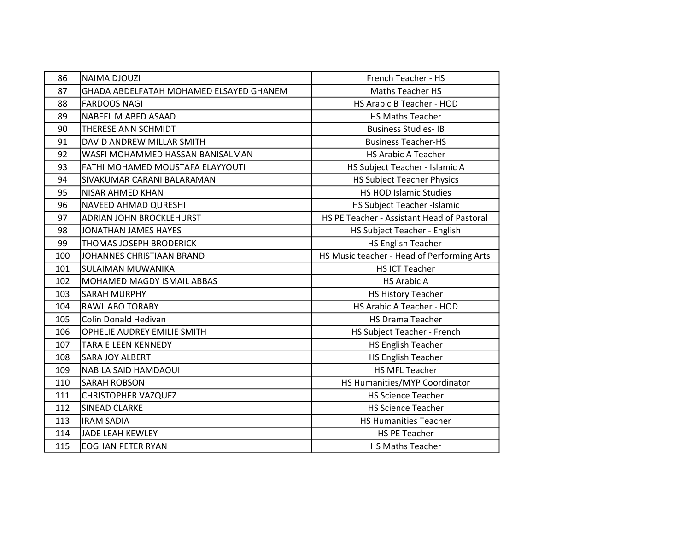| 86  | <b>NAIMA DJOUZI</b>                     | French Teacher - HS                        |
|-----|-----------------------------------------|--------------------------------------------|
| 87  | GHADA ABDELFATAH MOHAMED ELSAYED GHANEM | <b>Maths Teacher HS</b>                    |
| 88  | <b>FARDOOS NAGI</b>                     | HS Arabic B Teacher - HOD                  |
| 89  | NABEEL M ABED ASAAD                     | <b>HS Maths Teacher</b>                    |
| 90  | THERESE ANN SCHMIDT                     | <b>Business Studies-IB</b>                 |
| 91  | DAVID ANDREW MILLAR SMITH               | <b>Business Teacher-HS</b>                 |
| 92  | WASFI MOHAMMED HASSAN BANISALMAN        | <b>HS Arabic A Teacher</b>                 |
| 93  | FATHI MOHAMED MOUSTAFA ELAYYOUTI        | HS Subject Teacher - Islamic A             |
| 94  | SIVAKUMAR CARANI BALARAMAN              | <b>HS Subject Teacher Physics</b>          |
| 95  | NISAR AHMED KHAN                        | <b>HS HOD Islamic Studies</b>              |
| 96  | <b>NAVEED AHMAD QURESHI</b>             | HS Subject Teacher -Islamic                |
| 97  | <b>ADRIAN JOHN BROCKLEHURST</b>         | HS PE Teacher - Assistant Head of Pastoral |
| 98  | <b>JONATHAN JAMES HAYES</b>             | HS Subject Teacher - English               |
| 99  | THOMAS JOSEPH BRODERICK                 | <b>HS English Teacher</b>                  |
| 100 | JOHANNES CHRISTIAAN BRAND               | HS Music teacher - Head of Performing Arts |
| 101 | <b>SULAIMAN MUWANIKA</b>                | <b>HS ICT Teacher</b>                      |
| 102 | MOHAMED MAGDY ISMAIL ABBAS              | <b>HS Arabic A</b>                         |
| 103 | <b>SARAH MURPHY</b>                     | <b>HS History Teacher</b>                  |
| 104 | RAWL ABO TORABY                         | HS Arabic A Teacher - HOD                  |
| 105 | Colin Donald Hedivan                    | <b>HS Drama Teacher</b>                    |
| 106 | OPHELIE AUDREY EMILIE SMITH             | HS Subject Teacher - French                |
| 107 | <b>TARA EILEEN KENNEDY</b>              | HS English Teacher                         |
| 108 | <b>SARA JOY ALBERT</b>                  | HS English Teacher                         |
| 109 | NABILA SAID HAMDAOUI                    | <b>HS MFL Teacher</b>                      |
| 110 | <b>SARAH ROBSON</b>                     | HS Humanities/MYP Coordinator              |
| 111 | <b>CHRISTOPHER VAZQUEZ</b>              | <b>HS Science Teacher</b>                  |
| 112 | <b>SINEAD CLARKE</b>                    | <b>HS Science Teacher</b>                  |
| 113 | <b>IRAM SADIA</b>                       | <b>HS Humanities Teacher</b>               |
| 114 | JADE LEAH KEWLEY                        | <b>HS PE Teacher</b>                       |
| 115 | <b>EOGHAN PETER RYAN</b>                | <b>HS Maths Teacher</b>                    |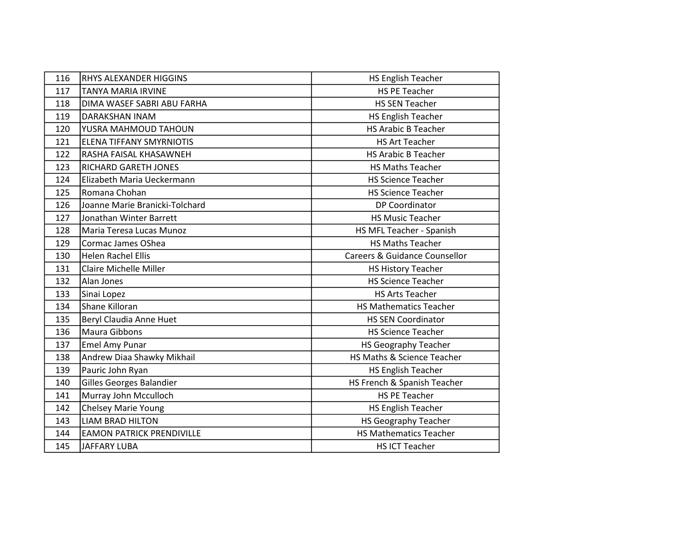| 116 | RHYS ALEXANDER HIGGINS           | <b>HS English Teacher</b>     |
|-----|----------------------------------|-------------------------------|
| 117 | <b>TANYA MARIA IRVINE</b>        | <b>HS PE Teacher</b>          |
| 118 | DIMA WASEF SABRI ABU FARHA       | <b>HS SEN Teacher</b>         |
| 119 | <b>DARAKSHAN INAM</b>            | <b>HS English Teacher</b>     |
| 120 | YUSRA MAHMOUD TAHOUN             | <b>HS Arabic B Teacher</b>    |
| 121 | ELENA TIFFANY SMYRNIOTIS         | <b>HS Art Teacher</b>         |
| 122 | RASHA FAISAL KHASAWNEH           | <b>HS Arabic B Teacher</b>    |
| 123 | RICHARD GARETH JONES             | <b>HS Maths Teacher</b>       |
| 124 | Elizabeth Maria Ueckermann       | <b>HS Science Teacher</b>     |
| 125 | Romana Chohan                    | <b>HS Science Teacher</b>     |
| 126 | Joanne Marie Branicki-Tolchard   | DP Coordinator                |
| 127 | Jonathan Winter Barrett          | <b>HS Music Teacher</b>       |
| 128 | Maria Teresa Lucas Munoz         | HS MFL Teacher - Spanish      |
| 129 | Cormac James OShea               | <b>HS Maths Teacher</b>       |
| 130 | <b>Helen Rachel Ellis</b>        | Careers & Guidance Counsellor |
| 131 | <b>Claire Michelle Miller</b>    | <b>HS History Teacher</b>     |
| 132 | Alan Jones                       | <b>HS Science Teacher</b>     |
| 133 | Sinai Lopez                      | <b>HS Arts Teacher</b>        |
| 134 | Shane Killoran                   | <b>HS Mathematics Teacher</b> |
| 135 | Beryl Claudia Anne Huet          | <b>HS SEN Coordinator</b>     |
| 136 | Maura Gibbons                    | <b>HS Science Teacher</b>     |
| 137 | Emel Amy Punar                   | <b>HS Geography Teacher</b>   |
| 138 | Andrew Diaa Shawky Mikhail       | HS Maths & Science Teacher    |
| 139 | Pauric John Ryan                 | <b>HS English Teacher</b>     |
| 140 | Gilles Georges Balandier         | HS French & Spanish Teacher   |
| 141 | Murray John Mcculloch            | <b>HS PE Teacher</b>          |
| 142 | Chelsey Marie Young              | <b>HS English Teacher</b>     |
| 143 | <b>LIAM BRAD HILTON</b>          | <b>HS Geography Teacher</b>   |
| 144 | <b>EAMON PATRICK PRENDIVILLE</b> | <b>HS Mathematics Teacher</b> |
| 145 | <b>JAFFARY LUBA</b>              | <b>HS ICT Teacher</b>         |